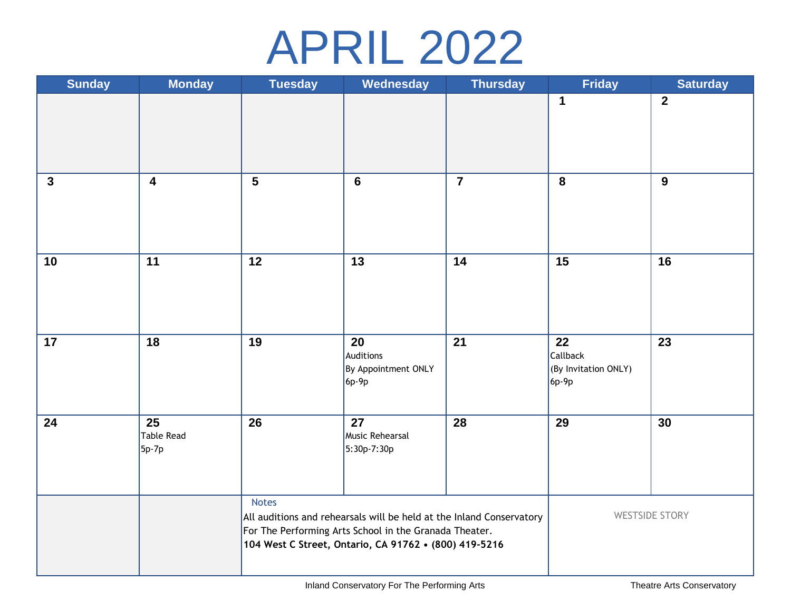## APRIL 2022

| <b>Sunday</b> | <b>Monday</b>             | <b>Tuesday</b>                                                                                                                                                                                          | Wednesday                                         | <b>Thursday</b>         | <b>Friday</b>                                   | <b>Saturday</b> |
|---------------|---------------------------|---------------------------------------------------------------------------------------------------------------------------------------------------------------------------------------------------------|---------------------------------------------------|-------------------------|-------------------------------------------------|-----------------|
|               |                           |                                                                                                                                                                                                         |                                                   |                         | $\mathbf 1$                                     | $\overline{2}$  |
| $\mathbf{3}$  | $\overline{\mathbf{4}}$   | $\overline{\overline{\overline{5}}}$                                                                                                                                                                    | $6\phantom{a}$                                    | $\overline{\mathbf{7}}$ | 8                                               | $\overline{9}$  |
| 10            | 11                        | 12                                                                                                                                                                                                      | 13                                                | 14                      | 15                                              | 16              |
| 17            | 18                        | 19                                                                                                                                                                                                      | 20<br>Auditions<br>By Appointment ONLY<br>$6p-9p$ | 21                      | 22<br>Callback<br>(By Invitation ONLY)<br>6p-9p | 23              |
| 24            | 25<br>Table Read<br>5p-7p | 26                                                                                                                                                                                                      | 27<br>Music Rehearsal<br>5:30p-7:30p              | 28                      | 29                                              | 30              |
|               |                           | <b>Notes</b><br>All auditions and rehearsals will be held at the Inland Conservatory<br>For The Performing Arts School in the Granada Theater.<br>104 West C Street, Ontario, CA 91762 • (800) 419-5216 |                                                   |                         | <b>WESTSIDE STORY</b>                           |                 |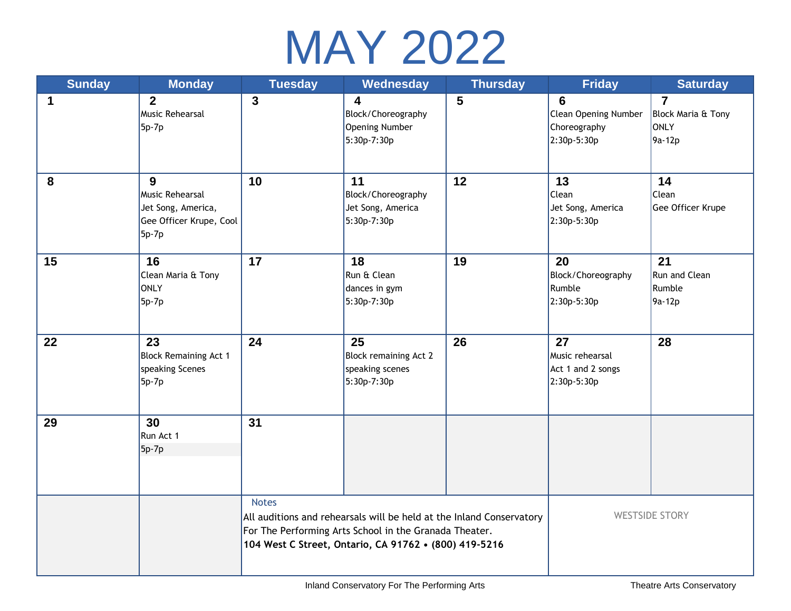

| <b>Sunday</b> | <b>Monday</b>                                                                         | <b>Tuesday</b>                                                                                                                                                                                          | Wednesday                                                                      | <b>Thursday</b> | <b>Friday</b>                                                                 | <b>Saturday</b>                                        |
|---------------|---------------------------------------------------------------------------------------|---------------------------------------------------------------------------------------------------------------------------------------------------------------------------------------------------------|--------------------------------------------------------------------------------|-----------------|-------------------------------------------------------------------------------|--------------------------------------------------------|
| 1             | $\overline{2}$<br><b>Music Rehearsal</b><br>5p-7p                                     | $\mathbf{3}$                                                                                                                                                                                            | $\overline{\mathbf{4}}$<br>Block/Choreography<br>Opening Number<br>5:30p-7:30p | $5\phantom{1}$  | $6\phantom{1}6$<br><b>Clean Opening Number</b><br>Choreography<br>2:30p-5:30p | $\overline{7}$<br>Block Maria & Tony<br>ONLY<br>9a-12p |
| 8             | 9<br><b>Music Rehearsal</b><br>Jet Song, America,<br>Gee Officer Krupe, Cool<br>5p-7p | 10                                                                                                                                                                                                      | 11<br>Block/Choreography<br>Jet Song, America<br>5:30p-7:30p                   | 12              | 13<br>Clean<br>Jet Song, America<br>2:30p-5:30p                               | 14<br>Clean<br>Gee Officer Krupe                       |
| 15            | 16<br>Clean Maria & Tony<br>ONLY<br>5p-7p                                             | 17                                                                                                                                                                                                      | 18<br>Run & Clean<br>dances in gym<br>5:30p-7:30p                              | 19              | 20<br>Block/Choreography<br>Rumble<br>2:30p-5:30p                             | 21<br>Run and Clean<br>Rumble<br>9a-12p                |
| 22            | 23<br><b>Block Remaining Act 1</b><br>speaking Scenes<br>$5p-7p$                      | 24                                                                                                                                                                                                      | 25<br>Block remaining Act 2<br>speaking scenes<br>5:30p-7:30p                  | 26              | 27<br>Music rehearsal<br>Act 1 and 2 songs<br>2:30p-5:30p                     | 28                                                     |
| 29            | 30<br>Run Act 1<br>$5p-7p$                                                            | 31                                                                                                                                                                                                      |                                                                                |                 |                                                                               |                                                        |
|               |                                                                                       | <b>Notes</b><br>All auditions and rehearsals will be held at the Inland Conservatory<br>For The Performing Arts School in the Granada Theater.<br>104 West C Street, Ontario, CA 91762 . (800) 419-5216 |                                                                                |                 | <b>WESTSIDE STORY</b>                                                         |                                                        |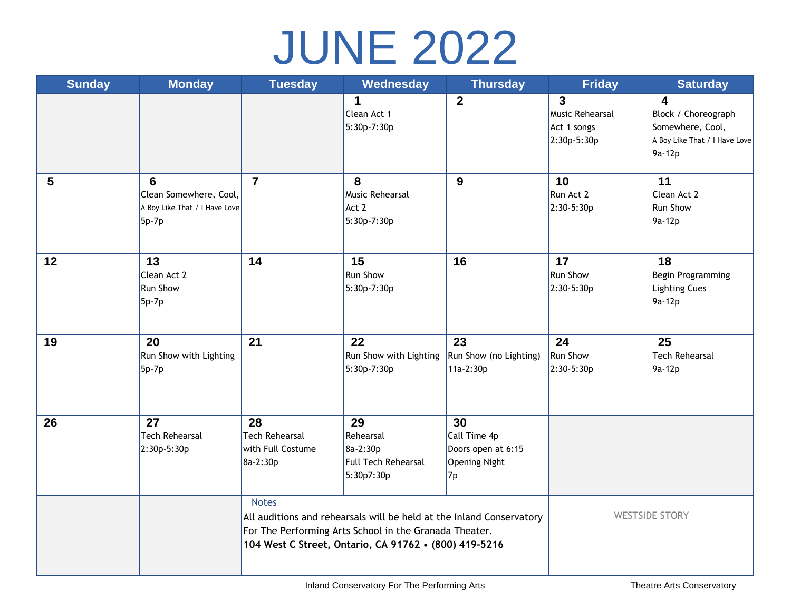## JUNE 2022

| <b>Sunday</b> | <b>Monday</b>                                                         | <b>Tuesday</b>                                                                                                                                                                                          | Wednesday                                                        | <b>Thursday</b>                                                        | <b>Friday</b>                                                   | <b>Saturday</b>                                                                                               |
|---------------|-----------------------------------------------------------------------|---------------------------------------------------------------------------------------------------------------------------------------------------------------------------------------------------------|------------------------------------------------------------------|------------------------------------------------------------------------|-----------------------------------------------------------------|---------------------------------------------------------------------------------------------------------------|
|               |                                                                       |                                                                                                                                                                                                         | 1<br>Clean Act 1<br>5:30p-7:30p                                  | $\overline{2}$                                                         | $\overline{3}$<br>Music Rehearsal<br>Act 1 songs<br>2:30p-5:30p | $\overline{\mathbf{4}}$<br>Block / Choreograph<br>Somewhere, Cool,<br>A Boy Like That / I Have Love<br>9a-12p |
| 5             | 6<br>Clean Somewhere, Cool,<br>A Boy Like That / I Have Love<br>5p-7p | $\overline{7}$                                                                                                                                                                                          | 8<br><b>Music Rehearsal</b><br>Act 2<br>5:30p-7:30p              | 9                                                                      | 10<br>Run Act 2<br>2:30-5:30p                                   | 11<br>Clean Act 2<br><b>Run Show</b><br>9a-12p                                                                |
| 12            | 13<br>Clean Act 2<br>Run Show<br>5p-7p                                | 14                                                                                                                                                                                                      | 15<br><b>Run Show</b><br>5:30p-7:30p                             | 16                                                                     | 17<br><b>Run Show</b><br>2:30-5:30p                             | 18<br>Begin Programming<br><b>Lighting Cues</b><br>9a-12p                                                     |
| 19            | 20<br>Run Show with Lighting<br>$5p-7p$                               | 21                                                                                                                                                                                                      | 22<br>Run Show with Lighting<br>5:30p-7:30p                      | 23<br>Run Show (no Lighting)<br>11a-2:30p                              | 24<br><b>Run Show</b><br>2:30-5:30p                             | 25<br><b>Tech Rehearsal</b><br>9a-12p                                                                         |
| 26            | 27<br><b>Tech Rehearsal</b><br>2:30p-5:30p                            | 28<br><b>Tech Rehearsal</b><br>with Full Costume<br>8a-2:30p                                                                                                                                            | 29<br>Rehearsal<br>8a-2:30p<br>Full Tech Rehearsal<br>5:30p7:30p | 30<br>Call Time 4p<br>Doors open at 6:15<br><b>Opening Night</b><br>7p |                                                                 |                                                                                                               |
|               |                                                                       | <b>Notes</b><br>All auditions and rehearsals will be held at the Inland Conservatory<br>For The Performing Arts School in the Granada Theater.<br>104 West C Street, Ontario, CA 91762 . (800) 419-5216 |                                                                  |                                                                        | <b>WESTSIDE STORY</b>                                           |                                                                                                               |